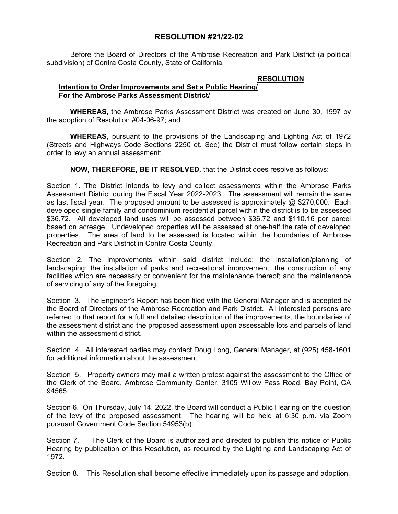## **RESOLUTION #21/22-02**

Before the Board of Directors of the Ambrose Recreation and Park District (a political subdivision) of Contra Costa County, State of California,

## **RESOLUTION Intention to Order Improvements and Set a Public Hearing/ For the Ambrose Parks Assessment District/**

**WHEREAS,** the Ambrose Parks Assessment District was created on June 30, 1997 by the adoption of Resolution #04-06-97; and

**WHEREAS,** pursuant to the provisions of the Landscaping and Lighting Act of 1972 (Streets and Highways Code Sections 2250 et. Sec) the District must follow certain steps in order to levy an annual assessment;

**NOW, THEREFORE, BE IT RESOLVED,** that the District does resolve as follows:

Section 1. The District intends to levy and collect assessments within the Ambrose Parks Assessment District during the Fiscal Year 2022-2023. The assessment will remain the same as last fiscal year. The proposed amount to be assessed is approximately  $\omega$  \$270,000. Each developed single family and condominium residential parcel within the district is to be assessed \$36.72. All developed land uses will be assessed between \$36.72 and \$110.16 per parcel based on acreage. Undeveloped properties will be assessed at one-half the rate of developed properties. The area of land to be assessed is located within the boundaries of Ambrose Recreation and Park District in Contra Costa County.

Section 2. The improvements within said district include; the installation/planning of landscaping; the installation of parks and recreational improvement, the construction of any facilities which are necessary or convenient for the maintenance thereof; and the maintenance of servicing of any of the foregoing.

Section 3. The Engineer's Report has been filed with the General Manager and is accepted by the Board of Directors of the Ambrose Recreation and Park District. All interested persons are referred to that report for a full and detailed description of the improvements, the boundaries of the assessment district and the proposed assessment upon assessable lots and parcels of land within the assessment district.

Section 4. All interested parties may contact Doug Long, General Manager, at (925) 458-1601 for additional information about the assessment.

Section 5. Property owners may mail a written protest against the assessment to the Office of the Clerk of the Board, Ambrose Community Center, 3105 Willow Pass Road, Bay Point, CA 94565.

Section 6. On Thursday, July 14, 2022, the Board will conduct a Public Hearing on the question of the levy of the proposed assessment. The hearing will be held at 6:30 p.m. via Zoom pursuant Government Code Section 54953(b).

Section 7. The Clerk of the Board is authorized and directed to publish this notice of Public Hearing by publication of this Resolution, as required by the Lighting and Landscaping Act of 1972.

Section 8. This Resolution shall become effective immediately upon its passage and adoption.